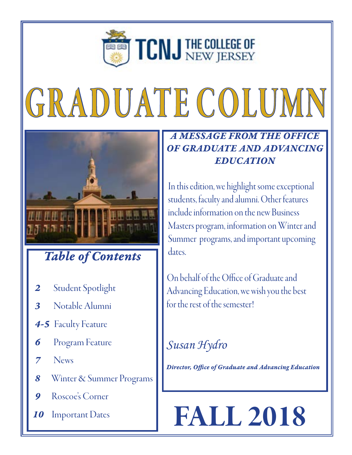

# GRADUATE COLUMN



### *Table of Contents*

- 2 Student Spotlight
- *3* Notable Alumni
- **4-5** Faculty Feature
- **6** Program Feature
- *7* News
- *8* Winter & Summer Programs
- *9* Roscoe's Corner
- *10* Important Dates

#### *A MESSAGE FROM THE OFFICE OF GRADUATE AND ADVANCING EDUCATION*

 In this edition, we highlight some exceptional students, faculty and alumni. Other features include information on the new Business Masters program, information on Winter and Summer programs, and important upcoming dates.

 On behalf of the Office of Graduate and Advancing Education, we wish you the best for the rest of the semester!

### *Susan Hydro*

 *Director, Office of Graduate and Advancing Education*

## FALL 2018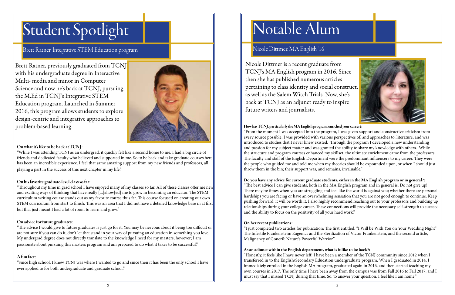### Student Spotlight

#### Brett Ratner, Integrative STEM Education program

Brett Ratner, previously graduated from TCNJ with his undergraduate degree in Interactive Multi- media and minor in Computer Science and now he's back at TCNJ, pursuing the M.Ed in TCNJ's Integrative STEM Education program. Launched in Summer 2016, this program allows students to explore design-centric and integrative approaches to problem-based learning.



#### On what it's like to be back at TCNJ:

"While I was attending TCNJ as an undergrad, it quickly felt like a second home to me. I had a big circle of friends and dedicated faculty who believed and supported in me. So to be back and take graduate courses here has been an incredible experience. I feel that same amazing support from my new friends and professors, all playing a part in the success of this next chapter in my life."

#### On his favorite graduate-level class so far:

"Throughout my time in grad school I have enjoyed many of my classes so far. All of these classes offer me new and exciting ways of thinking that have really [...]allow[ed] me to grow in becoming an educator. The STEM curriculum writing course stands out as my favorite course thus far. This course focused on creating our own STEM curriculum from start to finish. This was an area that I did not have a detailed knowledge base in at first but that just meant I had a lot of room to learn and grow."

#### On advice for future graduates:

"The advice I would give to future graduates is just go for it. You may be nervous about it being too difficult or are not sure if you can do it, don't let that stand in your way of pursuing an education in something you love. My undergrad degree does not directly translate to the knowledge I need for my masters, however; I am passionate about pursuing this masters program and am prepared to do what it takes to be successful."

#### A fun fact:

"Since high school, I knew TCNJ was where I wanted to go and since then it has been the only school I have ever applied to for both undergraduate and graduate school."





### Notable Alum

#### Nicole Dittmer, MA English '16

Nicole Dittmer is a recent graduate from TCNJ's MA English program in 2016. Since then she has published numerous articles pertaining to class identity and social construct, as well as the Salem Witch Trials. Now, she's back at TCNJ as an adjunct ready to inspire future writers and journalists.

How has TCNJ, particularly the MA English program, enriched your career?: "From the moment I was accepted into the program, I was given support and constructive criticism from every source possible. I was provided with various perspectives of, and approaches to, literature, and was introduced to studies that I never knew existed. Through the program I developed a new understanding and passion for my subject matter and was granted the ability to share my knowledge with others. While the structure and program courses enhanced my skillset, the ultimate enrichment came from the professors. The faculty and staff of the English Department were the predominant influencers to my career. They were the people who guided me and told me when my theories should be expounded upon, or when I should just throw them in the bin; their support was, and remains, invaluable."

#### Do you have any advice for current graduate students, either in the MA English program or in general?:

"The best advice I can give students, both in the MA English program and in general is: Do not give up! There may be times when you are struggling and feel like the world is against you; whether there are personal hardships you are facing or have an overwhelming sensation that you are not good enough to continue: Keep pushing forward, it will be worth it. I also highly recommend reaching out to your professors and building up relationships during your college career. These connections will provide the necessary self-strength to succeed and the ability to focus on the positivity of all your hard work."

#### On her recent publications:

"I just completed two articles for publication: The first entitled, "I Will be With You on Your Wedding Night" The Infertile Frankenstein: Eugenics and the Sterilization of Victor Frankenstein, and the second article, Malignancy of Goneril: Nature's Powerful Warrior."

#### As an adjunct within the English department, what is it like to be back?:

"Honestly, it feels like I have never left! I have been a member of the TCNJ community since 2012 when I transferred in to the English/Secondary Education undergraduate program. When I graduated in 2014, I immediately enrolled in the English MA program, graduated again in 2016, and then started teaching my own courses in 2017. The only time I have been away from the campus was from Fall 2016 to Fall 2017, and I must say that I missed TCNJ during that time. So, to answer your question, I feel like I am home."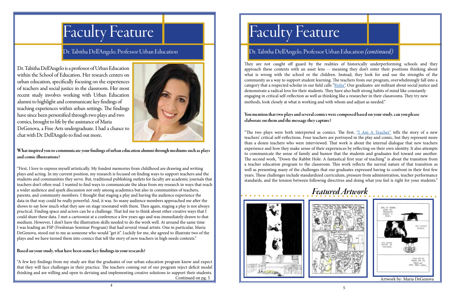### Faculty Feature

#### Dr. Tabitha Dell'Angelo, Professor Urban Education

#### Dr. Tabitha Dell'Angelo, Professor Urban Education *(continued)*

Dr. Tabitha Dell'Angelo is a professor of Urban Education within the School of Education. Her research centers on urban education, specifically focusing on the experiences of teachers and social justice in the classroom. Her most recent study involves working with Urban Education alumni to highlight and communicate key findings of teaching experiences within urban settings. The findings have since been personified through two plays and two comics, brought to life by the assistance of Maria DeGenova, a Fine Arts undergraduate. I had a chance to chat with Dr. Dell'Angelo to find out more.



What inspired you to communicate your findings of urban education alumni through mediums such as plays and comic illustrations?

"First, I love to express myself artistically. My fondest memories from childhood are drawing and writing plays and acting. In my current position, my research is focused on finding ways to support teachers and the students and communities they serve. But, traditional publishing outlets for faculty are academic journals that teachers don't often read. I wanted to find ways to communicate the ideas from my research in ways that reach a wider audience and spark discussion not only among academics but also in communities of teachers, parents, and community members. I thought that staging a play and having the audience experience the data in that way could be really powerful. And, it was. So many audience members approached me after the shows to say how much what they saw on stage resonated with them. Then again, staging a play is not always practical. Finding space and actors can be a challenge. That led me to think about other creative ways that I could share these data. I met a cartoonist at a conference a few years ago and was immediately drawn to that medium. However, I don't have the illustration skills needed to do the work well. At around the same time I was leading an FSP (Freshman Seminar Program) that had several visual artists. One in particular, Maria DeGenova, stood out to me as someone who would "get it". Luckily for me, she agreed to illustrate two of the plays and we have turned them into comics that tell the story of new teachers in high needs contexts."

"The two plays were both interpreted as comics. The first, ["I Am A Teacher"](https://www.comicsgrid.com/articles/10.16995/cg.115/) tells the story of a new teachers' critical self-reflections. Four teachers are portrayed in the play and comic, but they represent more than a dozen teachers who were interviewed. That work is about the internal dialogue that new teachers experience and how they make sense of their experiences by reflecting on their own identity. It also attempts to communicate the sense of family and humor that the students and graduates feel toward one another. The second work, "Down the Rabbit Hole: A fantastical first year of teaching" is about the transition from a teacher education program to the classroom. This work reflects the surreal nature of that transition as well as presenting many of the challenges that our graduates expressed having to confront in their first few years. These challenges include standardized curriculum, pressure from administration, teacher performance standards, and the tension between following directives and doing what you feel is right for your students."



#### Based on your study, what have been some key findings in your research?



They are not caught off guard by the realities of historically underperforming schools and they approach these contexts with an asset lens -- meaning they don't enter their positions thinking about what is wrong with the school or the children. Instead, they look for and use the strengths of the community as a way to support student learning. The teachers from our program, overwhelmingly fall into a category that a respected scholar in our field calls ["Ridas"](https://www.tandfonline.com/doi/abs/10.1080/09518390701630767?journalCode=tqse20). Our graduates are militant about social justice and demonstrate a radical love for their students. They have also built strong habits of mind like constantly engaging in critical self-reflection as well as thinking like a researcher in their classrooms. They try new methods, look closely at what is working and with whom and adjust as needed."

"A few key findings from my study are that the graduates of our urban education program know and expect that they will face challenges in their practice. The teachers coming out of our program reject deficit model thinking and are willing and open to devising and implementing creative solutions to support their students. Continued on pg. 5

## Faculty Feature

#### You mention that two plays and several comics were composed based on your study, can you please elaborate on them and the message they capture?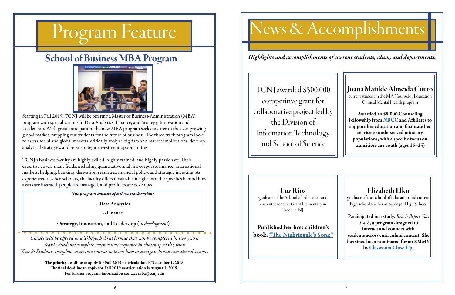## Program Feature

### School of Business MBA Program



Starting in Fall 2019, TCNJ will be offering a Master of Business-Administration (MBA) program with specializations in Data Analytics, Finance, and Strategy, Innovation and Leadership. With great anticipation, the new MBA program seeks to cater to the ever-growing global market, prepping our students for the future of business. The three track program looks to assess social and global markets, critically analyze big data and market implications, develop analytical strategies, and seize strategic investment opportunities.

TCNJ's Business faculty are highly-skilled, highly-trained, and highly-passionate. Their expertise covers many fields, including quantitative analysis, corporate finance, international markets, hedging, banking, derivatives securities, financial policy, and strategic investing. As experienced teacher-scholars, the faculty offers invaluable insight into the specifics behind how assets are invested, people are managed, and products are developed.

*The program consists of a three track option:*

~Data Analytics

~Finance

~Strategy, Innovation, and Leadership (*In development*)

*Classes will be offered in a T-Style hybrid format that can be completed in two years. Year1: Students complete seven course sequence in chosen specialization Year 2: Students complete seven core courses to learn how to navigate broad executive decisions*

> The priority deadline to apply for Fall 2019 matriculation is December 1, 2018 The final deadline to apply for Fall 2019 matriculation is August 1, 2019. For further program information contact mba@tcnj.edu

## News & Accomplishments

TCNJ awarded \$500,000 competitive grant for collaborative project led by the Division of Information Technology and School of Science

#### Joana Matilde Almeida Couto

current student in the MA Counselor Education Clinical Mental Health program

Awarded an \$8,000 Counseling Fellowship from [NBCC](https://nbcc_foundation.informz.net/informzdataservice/onlineversion/ind/bWFpbGluZ2luc3RhbmNlaWQ9NjgyNzA5NyZzdWJzY3JpYmVyaWQ9OTE4MDQzNDc5) and Affiliates to support her education and facilitate her service to underserved minority populations, with a specific focus on transition-age youth (ages 16–25)

Luz Rios

graduate of the School of Education and current teacher at Grant Elementary in Trenton, NJ

Published her first children's book, ["The Nightingale's Song"](https://www.amazon.com/Nightingales-Song-Luz-C-Rios/dp/1732254303/ref=sr_1_1?ie=UTF8&qid=1537284963&sr=8-1&keywords=luz+rios+nightingales+song)

#### Elizabeth Elko

graduate of the School of Education and current high school teacher at Barneget High School

Participated in a study, *Reach Before You Teach*, a program designed to interact and connect with students across curriculum content. She has since been nominated for an EMMY by [Classroom Close-Up](http://classroomcloseup.org/segments/reach-before-you-teach/).

*Highlights and accomplishments of current students, alum, and departments.*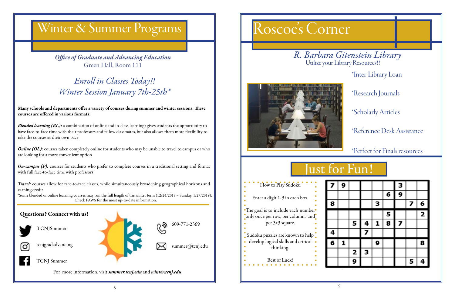### Winter & Summer Programs

8



\*Inter-Library Loan

\*Research Journals

\*Scholarly Articles

\*Reference Desk Assistance

\*Perfect for Finals resources

### lust for Fun!

| 9 |   |   |   |   | 3 |   |   |
|---|---|---|---|---|---|---|---|
|   |   |   |   | 6 | 9 |   |   |
|   |   |   | З |   |   | 7 | 6 |
|   |   |   |   | 5 |   |   | 2 |
|   | 5 | 4 | 1 | 8 | 7 |   |   |
|   |   | 7 |   |   |   |   |   |
| 1 |   |   | 9 |   |   |   | 8 |
|   | 2 | З |   |   |   |   |   |
|   | 9 |   |   |   |   | 5 | 4 |

*Office of Graduate and Advancing Education* Green Hall, Room 111

*Blended learning (BL):* a combination of online and in-class learning; gives students the opportunity to have face-to-face time with their professors and fellow classmates, but also allows them more flexibility to take the courses at their own pace

Many schools and departments offer a variety of courses during summer and winter sessions. These courses are offered in various formats:

*Online (OL):* courses taken completely online for students who may be unable to travel to campus or who are looking for a more convenient option

*On-campus (P):* courses for students who prefer to complete courses in a traditional setting and format with full face-to-face time with professors

*Travel*: courses allow for face-to-face classes, while simultaneously broadening geographical horizons and earning credit





For more information, visit *summer.tcnj.edu* and *winter.tcnj.edu*



### *Enroll in Classes Today!! Winter Session January 7th-25th\**



\*Some blended or online learning courses may run the full length of the winter term (12/24/2018 – Sunday, 1/27/2019). Check PAWS for the most up-to-date information.